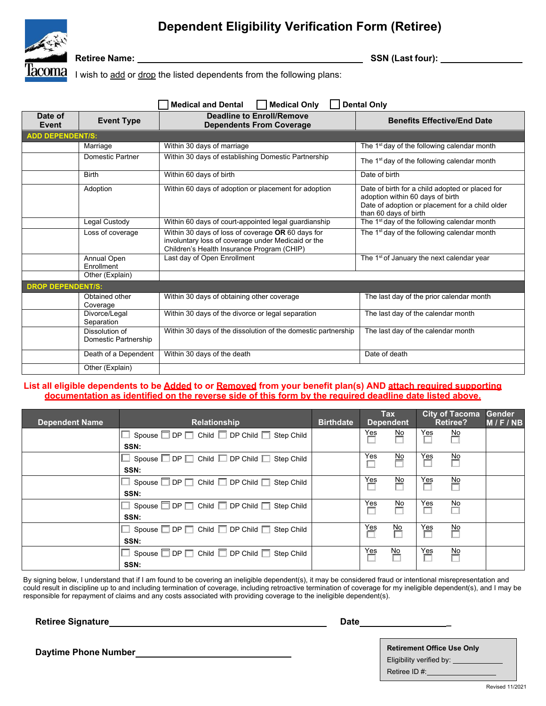# **Dependent Eligibility Verification Form (Retiree)**



**Retiree Name: SSN (Last four):** 

I wish to add or drop the listed dependents from the following plans:

| <b>Dental Only</b><br><b>Medical and Dental</b><br><b>Medical Only</b> |                                              |                                                                                                                                                       |                                                                                                                                                                 |  |  |  |  |  |  |
|------------------------------------------------------------------------|----------------------------------------------|-------------------------------------------------------------------------------------------------------------------------------------------------------|-----------------------------------------------------------------------------------------------------------------------------------------------------------------|--|--|--|--|--|--|
| Date of<br>Event                                                       | <b>Event Type</b>                            | <b>Deadline to Enroll/Remove</b><br><b>Dependents From Coverage</b>                                                                                   | <b>Benefits Effective/End Date</b>                                                                                                                              |  |  |  |  |  |  |
| <b>ADD DEPENDENT/S:</b>                                                |                                              |                                                                                                                                                       |                                                                                                                                                                 |  |  |  |  |  |  |
|                                                                        | Marriage                                     | Within 30 days of marriage                                                                                                                            | The 1 <sup>st</sup> day of the following calendar month                                                                                                         |  |  |  |  |  |  |
|                                                                        | Domestic Partner                             | Within 30 days of establishing Domestic Partnership                                                                                                   | The 1 <sup>st</sup> day of the following calendar month                                                                                                         |  |  |  |  |  |  |
|                                                                        | <b>Birth</b>                                 | Within 60 days of birth                                                                                                                               | Date of birth                                                                                                                                                   |  |  |  |  |  |  |
|                                                                        | Adoption                                     | Within 60 days of adoption or placement for adoption                                                                                                  | Date of birth for a child adopted or placed for<br>adoption within 60 days of birth<br>Date of adoption or placement for a child older<br>than 60 days of birth |  |  |  |  |  |  |
|                                                                        | Legal Custody                                | Within 60 days of court-appointed legal quardianship                                                                                                  | The 1 <sup>st</sup> day of the following calendar month                                                                                                         |  |  |  |  |  |  |
|                                                                        | Loss of coverage                             | Within 30 days of loss of coverage OR 60 days for<br>involuntary loss of coverage under Medicaid or the<br>Children's Health Insurance Program (CHIP) | The 1 <sup>st</sup> day of the following calendar month                                                                                                         |  |  |  |  |  |  |
|                                                                        | Annual Open<br>Enrollment<br>Other (Explain) | Last day of Open Enrollment                                                                                                                           | The 1 <sup>st</sup> of January the next calendar year                                                                                                           |  |  |  |  |  |  |
| <b>DROP DEPENDENT/S:</b>                                               |                                              |                                                                                                                                                       |                                                                                                                                                                 |  |  |  |  |  |  |
|                                                                        | Obtained other<br>Coverage                   | Within 30 days of obtaining other coverage                                                                                                            | The last day of the prior calendar month                                                                                                                        |  |  |  |  |  |  |
|                                                                        | Divorce/Legal<br>Separation                  | Within 30 days of the divorce or legal separation                                                                                                     | The last day of the calendar month                                                                                                                              |  |  |  |  |  |  |
|                                                                        | Dissolution of<br>Domestic Partnership       | Within 30 days of the dissolution of the domestic partnership                                                                                         | The last day of the calendar month                                                                                                                              |  |  |  |  |  |  |
|                                                                        | Death of a Dependent                         | Within 30 days of the death                                                                                                                           | Date of death                                                                                                                                                   |  |  |  |  |  |  |
|                                                                        | Other (Explain)                              |                                                                                                                                                       |                                                                                                                                                                 |  |  |  |  |  |  |

# **List all eligible dependents to be Added to or Removed from your benefit plan(s) AND attach required supporting documentation as identified on the reverse side of this form by the required deadline date listed above.**

| <b>Dependent Name</b> | <b>Relationship</b>                                                    | <b>Birthdate</b> | <b>Tax</b><br><b>Dependent</b> |                          | <b>City of Tacoma</b><br><b>Retiree?</b> |         | Gender<br>M/F/NB |
|-----------------------|------------------------------------------------------------------------|------------------|--------------------------------|--------------------------|------------------------------------------|---------|------------------|
|                       | $\Box$ Spouse $\Box$ DP $\Box$ Child $\Box$ DP Child $\Box$ Step Child |                  | Yes                            | $\frac{\text{No}}{\Box}$ | Yes                                      | No      |                  |
|                       | SSN:                                                                   |                  |                                |                          |                                          |         |                  |
|                       | $\Box$ Spouse $\Box$ DP $\Box$ Child $\Box$ DP Child $\Box$ Step Child |                  | Yes                            | No                       | Yes                                      | No      |                  |
|                       | SSN:                                                                   |                  |                                |                          |                                          |         |                  |
|                       | $\Box$ Spouse $\Box$ DP $\Box$ Child $\Box$ DP Child $\Box$ Step Child |                  | Yes                            | 坠                        | Yeş                                      | ≌       |                  |
|                       | SSN:                                                                   |                  |                                |                          |                                          |         |                  |
|                       | $\Box$ Spouse $\Box$ DP $\Box$ Child $\Box$ DP Child $\Box$ Step Child |                  | Yes                            | No                       | Yes                                      | No      |                  |
|                       | SSN:                                                                   |                  |                                |                          |                                          |         |                  |
|                       | $\Box$ Spouse $\Box$ DP $\Box$ Child $\Box$ DP Child $\Box$ Step Child |                  | Yes                            | $\frac{No}{\Box}$        | Yes<br>П                                 | No      |                  |
|                       | SSN:                                                                   |                  |                                |                          |                                          |         |                  |
|                       | $\Box$ Spouse $\Box$ DP $\Box$ Child $\Box$ DP Child $\Box$ Step Child |                  | Yes                            | No                       | Yes                                      | No<br>Ë |                  |
|                       | SSN:                                                                   |                  |                                |                          |                                          |         |                  |

By signing below, I understand that if I am found to be covering an ineligible dependent(s), it may be considered fraud or intentional misrepresentation and could result in discipline up to and including termination of coverage, including retroactive termination of coverage for my ineligible dependent(s), and I may be responsible for repayment of claims and any costs associated with providing coverage to the ineligible dependent(s).

**Retiree Signature Date Date Date Date** 

**Daytime Phone Number Number 1999 Retirement Office Use Only 1999** Eligibility verified by: \_\_\_\_\_\_\_\_ Retiree ID #:\_\_\_\_\_\_\_\_\_\_\_\_\_\_\_\_\_\_\_\_